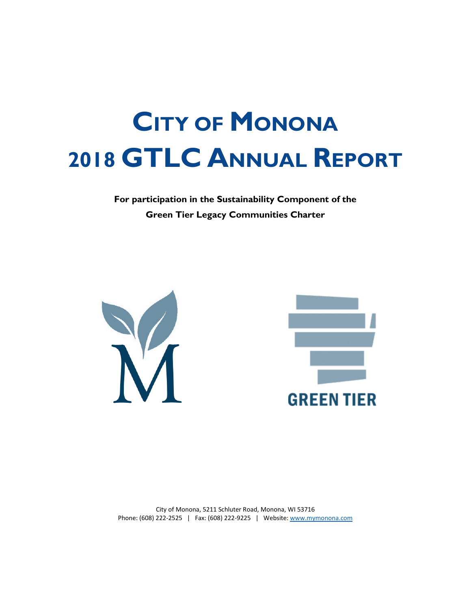# **CITY OF MONONA 2018 GTLC ANNUAL REPORT**

**For participation in the Sustainability Component of the Green Tier Legacy Communities Charter**



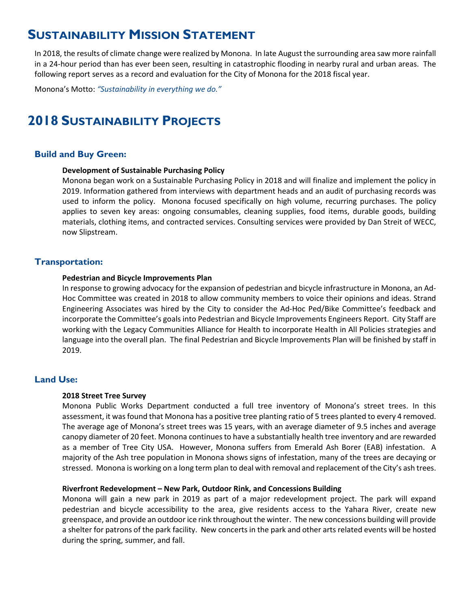## **SUSTAINABILITY MISSION STATEMENT**

In 2018, the results of climate change were realized by Monona. In late August the surrounding area saw more rainfall in a 24-hour period than has ever been seen, resulting in catastrophic flooding in nearby rural and urban areas. The following report serves as a record and evaluation for the City of Monona for the 2018 fiscal year.

Monona's Motto: *"Sustainability in everything we do."*

## **2018 SUSTAINABILITY PROJECTS**

#### **Build and Buy Green:**

#### **Development of Sustainable Purchasing Policy**

Monona began work on a Sustainable Purchasing Policy in 2018 and will finalize and implement the policy in 2019. Information gathered from interviews with department heads and an audit of purchasing records was used to inform the policy. Monona focused specifically on high volume, recurring purchases. The policy applies to seven key areas: ongoing consumables, cleaning supplies, food items, durable goods, building materials, clothing items, and contracted services. Consulting services were provided by Dan Streit of WECC, now Slipstream.

#### **Transportation:**

#### **Pedestrian and Bicycle Improvements Plan**

In response to growing advocacy for the expansion of pedestrian and bicycle infrastructure in Monona, an Ad-Hoc Committee was created in 2018 to allow community members to voice their opinions and ideas. Strand Engineering Associates was hired by the City to consider the Ad-Hoc Ped/Bike Committee's feedback and incorporate the Committee's goals into Pedestrian and Bicycle Improvements Engineers Report. City Staff are working with the Legacy Communities Alliance for Health to incorporate Health in All Policies strategies and language into the overall plan. The final Pedestrian and Bicycle Improvements Plan will be finished by staff in 2019.

#### **Land Use:**

#### **2018 Street Tree Survey**

Monona Public Works Department conducted a full tree inventory of Monona's street trees. In this assessment, it was found that Monona has a positive tree planting ratio of 5 trees planted to every 4 removed. The average age of Monona's street trees was 15 years, with an average diameter of 9.5 inches and average canopy diameter of 20 feet. Monona continues to have a substantially health tree inventory and are rewarded as a member of Tree City USA. However, Monona suffers from Emerald Ash Borer (EAB) infestation. A majority of the Ash tree population in Monona shows signs of infestation, many of the trees are decaying or stressed. Monona is working on a long term plan to deal with removal and replacement of the City's ash trees.

#### **Riverfront Redevelopment – New Park, Outdoor Rink, and Concessions Building**

Monona will gain a new park in 2019 as part of a major redevelopment project. The park will expand pedestrian and bicycle accessibility to the area, give residents access to the Yahara River, create new greenspace, and provide an outdoor ice rink throughout the winter. The new concessions building will provide a shelter for patrons of the park facility. New concerts in the park and other arts related events will be hosted during the spring, summer, and fall.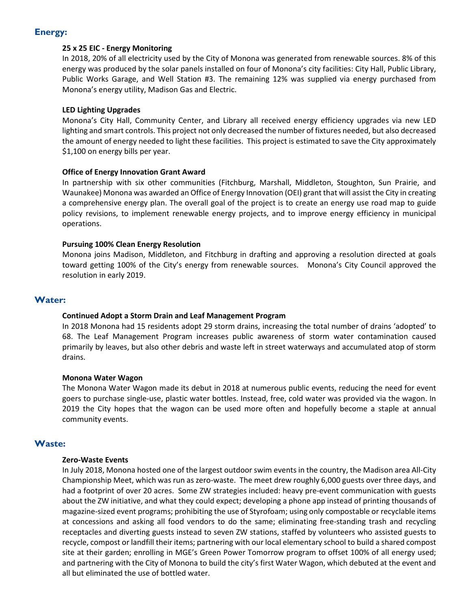#### **Energy:**

#### **25 x 25 EIC - Energy Monitoring**

In 2018, 20% of all electricity used by the City of Monona was generated from renewable sources. 8% of this energy was produced by the solar panels installed on four of Monona's city facilities: City Hall, Public Library, Public Works Garage, and Well Station #3. The remaining 12% was supplied via energy purchased from Monona's energy utility, Madison Gas and Electric.

#### **LED Lighting Upgrades**

Monona's City Hall, Community Center, and Library all received energy efficiency upgrades via new LED lighting and smart controls. This project not only decreased the number of fixtures needed, but also decreased the amount of energy needed to light these facilities. This project is estimated to save the City approximately \$1,100 on energy bills per year.

#### **Office of Energy Innovation Grant Award**

In partnership with six other communities (Fitchburg, Marshall, Middleton, Stoughton, Sun Prairie, and Waunakee) Monona was awarded an Office of Energy Innovation (OEI) grant that will assist the City in creating a comprehensive energy plan. The overall goal of the project is to create an energy use road map to guide policy revisions, to implement renewable energy projects, and to improve energy efficiency in municipal operations.

#### **Pursuing 100% Clean Energy Resolution**

Monona joins Madison, Middleton, and Fitchburg in drafting and approving a resolution directed at goals toward getting 100% of the City's energy from renewable sources. Monona's City Council approved the resolution in early 2019.

#### **Water:**

#### **Continued Adopt a Storm Drain and Leaf Management Program**

In 2018 Monona had 15 residents adopt 29 storm drains, increasing the total number of drains 'adopted' to 68. The Leaf Management Program increases public awareness of storm water contamination caused primarily by leaves, but also other debris and waste left in street waterways and accumulated atop of storm drains.

#### **Monona Water Wagon**

The Monona Water Wagon made its debut in 2018 at numerous public events, reducing the need for event goers to purchase single-use, plastic water bottles. Instead, free, cold water was provided via the wagon. In 2019 the City hopes that the wagon can be used more often and hopefully become a staple at annual community events.

#### **Waste:**

#### **Zero-Waste Events**

In July 2018, Monona hosted one of the largest outdoor swim events in the country, the Madison area All-City Championship Meet, which was run as zero-waste. The meet drew roughly 6,000 guests over three days, and had a footprint of over 20 acres. Some ZW strategies included: heavy pre-event communication with guests about the ZW initiative, and what they could expect; developing a phone app instead of printing thousands of magazine-sized event programs; prohibiting the use of Styrofoam; using only compostable or recyclable items at concessions and asking all food vendors to do the same; eliminating free-standing trash and recycling receptacles and diverting guests instead to seven ZW stations, staffed by volunteers who assisted guests to recycle, compost or landfill their items; partnering with our local elementary school to build a shared compost site at their garden; enrolling in MGE's Green Power Tomorrow program to offset 100% of all energy used; and partnering with the City of Monona to build the city's first Water Wagon, which debuted at the event and all but eliminated the use of bottled water.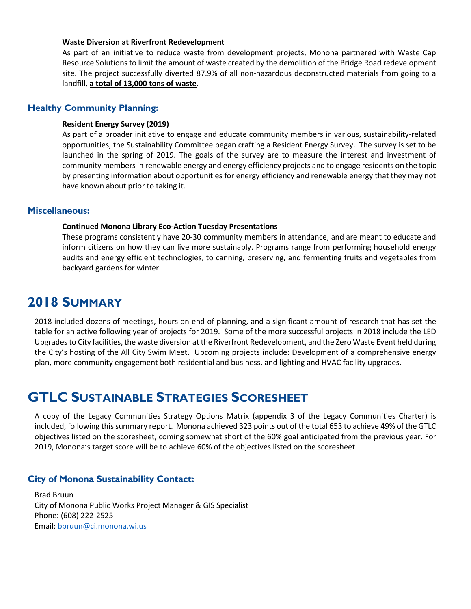#### **Waste Diversion at Riverfront Redevelopment**

As part of an initiative to reduce waste from development projects, Monona partnered with Waste Cap Resource Solutions to limit the amount of waste created by the demolition of the Bridge Road redevelopment site. The project successfully diverted 87.9% of all non-hazardous deconstructed materials from going to a landfill, **a total of 13,000 tons of waste**.

#### **Healthy Community Planning:**

#### **Resident Energy Survey (2019)**

As part of a broader initiative to engage and educate community members in various, sustainability-related opportunities, the Sustainability Committee began crafting a Resident Energy Survey. The survey is set to be launched in the spring of 2019. The goals of the survey are to measure the interest and investment of community members in renewable energy and energy efficiency projects and to engage residents on the topic by presenting information about opportunities for energy efficiency and renewable energy that they may not have known about prior to taking it.

#### **Miscellaneous:**

#### **Continued Monona Library Eco-Action Tuesday Presentations**

These programs consistently have 20-30 community members in attendance, and are meant to educate and inform citizens on how they can live more sustainably. Programs range from performing household energy audits and energy efficient technologies, to canning, preserving, and fermenting fruits and vegetables from backyard gardens for winter.

## **2018 SUMMARY**

2018 included dozens of meetings, hours on end of planning, and a significant amount of research that has set the table for an active following year of projects for 2019. Some of the more successful projects in 2018 include the LED Upgrades to City facilities, the waste diversion at the Riverfront Redevelopment, and the Zero Waste Event held during the City's hosting of the All City Swim Meet. Upcoming projects include: Development of a comprehensive energy plan, more community engagement both residential and business, and lighting and HVAC facility upgrades.

### **GTLC SUSTAINABLE STRATEGIES SCORESHEET**

A copy of the Legacy Communities Strategy Options Matrix (appendix 3 of the Legacy Communities Charter) is included, following this summary report. Monona achieved 323 points out of the total 653 to achieve 49% of the GTLC objectives listed on the scoresheet, coming somewhat short of the 60% goal anticipated from the previous year. For 2019, Monona's target score will be to achieve 60% of the objectives listed on the scoresheet.

#### **City of Monona Sustainability Contact:**

Brad Bruun City of Monona Public Works Project Manager & GIS Specialist Phone: (608) 222-2525 Email: [bbruun@ci.monona.wi.us](mailto:bbruun@ci.monona.wi.us)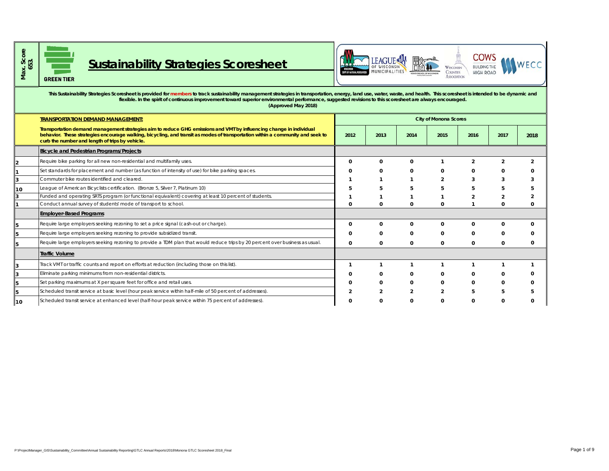

# **Sustainability Strategies Scoresheet**



| Max. Score<br>653. | <b>Sustainability Strategies Scoresheet</b><br><b>GREEN TIER</b>                                                                                                                                                                                                                                                                                                                                                  | DEPT. OF NATURAL RESOURCES                           | MUNICIPALITIES |                | <b>WISCONSIN</b><br><b>COUNTIES</b><br><b>ASSOCIATION</b> | <b>HIGH ROAD</b> |                |                |
|--------------------|-------------------------------------------------------------------------------------------------------------------------------------------------------------------------------------------------------------------------------------------------------------------------------------------------------------------------------------------------------------------------------------------------------------------|------------------------------------------------------|----------------|----------------|-----------------------------------------------------------|------------------|----------------|----------------|
|                    | This Sustainability Strategies Scoresheet is provided for members to track sustainability management strategies in transportation, energy, land use, water, waste, and health. This scoresheet is intended to be dynamic and<br>flexible. In the spirit of continuous improvement toward superior environmental performance, suggested revisions to this scoresheet are always encouraged.<br>(Approved May 2018) |                                                      |                |                |                                                           |                  |                |                |
|                    | <b>TRANSPORTATION DEMAND MANAGEMENT:</b>                                                                                                                                                                                                                                                                                                                                                                          |                                                      |                |                | <b>City of Monona Scores</b>                              |                  |                |                |
|                    | Transportation demand management strategies aim to reduce GHG emissions and VMT by influencing change in individual<br>behavior. These strategies encourage walking, bicycling, and transit as modes of transportation within a community and seek to<br>curb the number and length of trips by vehicle.                                                                                                          | 2012<br>2013<br>2014<br>2015<br>2016<br>2017<br>2018 |                |                |                                                           |                  |                |                |
|                    | <b>Bicycle and Pedestrian Programs/Projects</b>                                                                                                                                                                                                                                                                                                                                                                   |                                                      |                |                |                                                           |                  |                |                |
|                    | Require bike parking for all new non-residential and multifamily uses.                                                                                                                                                                                                                                                                                                                                            | 0                                                    | $\mathbf 0$    | $\mathbf 0$    | $\mathbf{1}$                                              | $\overline{2}$   | $\overline{2}$ | 2              |
|                    | Set standards for placement and number (as function of intensity of use) for bike parking spaces.                                                                                                                                                                                                                                                                                                                 | 0                                                    | 0              | $\mathbf 0$    | 0                                                         | $\Omega$         | 0              | 0              |
| 3                  | Commuter bike routes identified and cleared.                                                                                                                                                                                                                                                                                                                                                                      | -1                                                   | $\mathbf{1}$   | $\mathbf{1}$   | $\overline{2}$                                            | 3                | 3              | 3              |
| 10                 | eague of American Bicyclists certification. (Bronze 5, Silver 7, Platinum 10)                                                                                                                                                                                                                                                                                                                                     | 5                                                    | 5              | 5              | 5                                                         | 5                | 5              | 5              |
| 3                  | Funded and operating SRTS program (or functional equivalent) covering at least 10 percent of students.                                                                                                                                                                                                                                                                                                            | 1                                                    | $\mathbf{1}$   | $\mathbf{1}$   | $\mathbf{1}$                                              | $\overline{2}$   | $\overline{2}$ | $\overline{2}$ |
|                    | Conduct annual survey of students' mode of transport to school.                                                                                                                                                                                                                                                                                                                                                   | 0                                                    | $\mathbf 0$    | $\mathbf 0$    | 0                                                         | $\mathbf{1}$     | 0              | 0              |
|                    | <b>Employer-Based Programs</b>                                                                                                                                                                                                                                                                                                                                                                                    |                                                      |                |                |                                                           |                  |                |                |
|                    | Require large employers seeking rezoning to set a price signal (cash-out or charge).                                                                                                                                                                                                                                                                                                                              | 0                                                    | $\mathbf 0$    | $\mathbf 0$    | $\mathbf 0$                                               | 0                | 0              | 0              |
|                    | Require large employers seeking rezoning to provide subsidized transit.                                                                                                                                                                                                                                                                                                                                           | 0                                                    | $\mathbf 0$    | $\mathbf 0$    | 0                                                         | $\Omega$         | $\Omega$       | 0              |
|                    | Require large employers seeking rezoning to provide a TDM plan that would reduce trips by 20 percent over business as usual.                                                                                                                                                                                                                                                                                      | $\Omega$                                             | 0              | 0              | 0                                                         | 0                | 0              | 0              |
|                    | <b>Traffic Volume</b>                                                                                                                                                                                                                                                                                                                                                                                             |                                                      |                |                |                                                           |                  |                |                |
|                    | Track VMT or traffic counts and report on efforts at reduction (including those on this list).                                                                                                                                                                                                                                                                                                                    | $\mathbf{1}$                                         | $\mathbf{1}$   | $\mathbf{1}$   | $\mathbf{1}$                                              | $\mathbf{1}$     | 1              | $\mathbf{1}$   |
|                    | Eliminate parking minimums from non-residential districts.                                                                                                                                                                                                                                                                                                                                                        | 0                                                    | 0              | $\mathbf 0$    | 0                                                         | 0                | 0              | 0              |
|                    | Set parking maximums at X per square feet for office and retail uses.                                                                                                                                                                                                                                                                                                                                             | 0                                                    | 0              | $\mathbf 0$    | $\mathbf 0$                                               | 0                | 0              | 0              |
|                    | Scheduled transit service at basic level (hour peak service within half-mile of 50 percent of addresses).                                                                                                                                                                                                                                                                                                         | $\overline{2}$                                       | $\overline{2}$ | $\overline{2}$ | $\overline{2}$                                            | 5                | 5              | 5              |
| 10                 | Scheduled transit service at enhanced level (half-hour peak service within 75 percent of addresses).                                                                                                                                                                                                                                                                                                              | $\mathbf 0$                                          | $\mathbf 0$    | 0              | $\mathbf 0$                                               | $\mathbf 0$      | 0              | 0              |
|                    |                                                                                                                                                                                                                                                                                                                                                                                                                   |                                                      |                |                |                                                           |                  |                |                |
|                    | P:\ProiectManager GIS\Sustainability Committee\Annual Sustainability Reporting\GTLC Annual Reports\2018\Monona GTLC Scoresheet 2018 Final                                                                                                                                                                                                                                                                         |                                                      |                |                |                                                           |                  |                |                |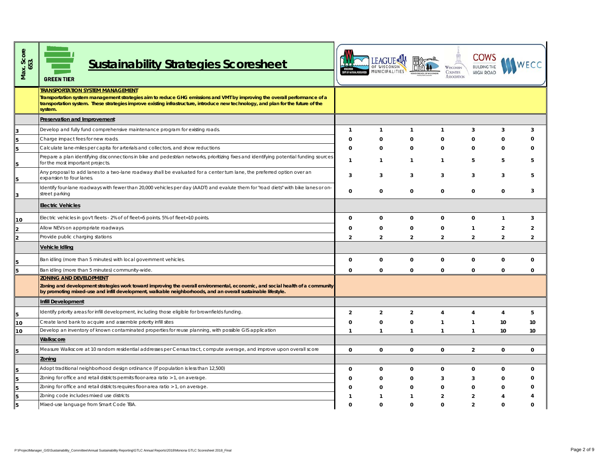| Max. Score<br>653. | <b>Sustainability Strategies Scoresheet</b><br><b>GREEN TIER</b>                                                                                                                                                                                                                                                     |                | MUNICIPALITIES |                | WISCONSIN<br><b>COUNTIES</b><br><b>ASSOCIATION</b> | COWS<br><b>HIGH ROAD</b> |                |                |
|--------------------|----------------------------------------------------------------------------------------------------------------------------------------------------------------------------------------------------------------------------------------------------------------------------------------------------------------------|----------------|----------------|----------------|----------------------------------------------------|--------------------------|----------------|----------------|
|                    | <b>TRANSPORTATION SYSTEM MANAGEMENT</b><br>Iransportation system management strategies aim to reduce GHG emissions and VMT by improving the overall performance of a<br>transportation system. These strategies improve existing infrastructure, introduce new technology, and plan for the future of the<br>system. |                |                |                |                                                    |                          |                |                |
|                    | Preservation and Improvement                                                                                                                                                                                                                                                                                         |                |                |                |                                                    |                          |                |                |
|                    | Develop and fully fund comprehensive maintenance program for existing roads.                                                                                                                                                                                                                                         | $\mathbf{1}$   | $\mathbf{1}$   | $\mathbf{1}$   | $\mathbf{1}$                                       | $\overline{3}$           | 3              | 3              |
|                    | Charge impact fees for new roads.                                                                                                                                                                                                                                                                                    | 0              | $\Omega$       | $\Omega$       | 0                                                  | $\Omega$                 | $\mathbf{0}$   | 0              |
|                    | Calculate lane-miles per capita for arterials and collectors, and show reductions                                                                                                                                                                                                                                    | 0              | 0              | 0              | 0                                                  | 0                        | 0              | 0              |
|                    | Prepare a plan identifying disconnections in bike and pedestrian networks, prioritizing fixes and identifying potential funding sources<br>for the most important projects.                                                                                                                                          | $\mathbf{1}$   | $\mathbf{1}$   | $\mathbf{1}$   | $\mathbf{1}$                                       | 5                        | 5              | 5              |
|                    | Any proposal to add lanes to a two-lane roadway shall be evaluated for a center turn lane, the preferred option over an<br>expansion to four lanes.                                                                                                                                                                  | 3              | 3              | 3              | 3                                                  | 3                        | 3              | 5              |
|                    | dentify four-lane roadways with fewer than 20,000 vehicles per day (AADT) and evalute them for "road diets" with bike lanes or on<br>street parking                                                                                                                                                                  | $\mathbf 0$    | $\mathbf 0$    | $\mathbf 0$    | 0                                                  | $\mathbf 0$              | 0              | 3              |
|                    | <b>Electric Vehicles</b>                                                                                                                                                                                                                                                                                             |                |                |                |                                                    |                          |                |                |
| 10                 | Electric vehicles in gov't fleets - 2% of of fleet=5 points. 5% of fleet=10 points.                                                                                                                                                                                                                                  | $\mathbf 0$    | $\mathbf 0$    | 0              | 0                                                  | 0                        | $\mathbf{1}$   | 3              |
|                    | Allow NEVs on appropriate roadways.                                                                                                                                                                                                                                                                                  | 0              | $\Omega$       | $\Omega$       | 0                                                  | -1                       | 2              | $\overline{2}$ |
|                    | Provide public charging stations                                                                                                                                                                                                                                                                                     | $\overline{2}$ | $\overline{2}$ | $\overline{2}$ | 2                                                  | $\overline{2}$           | $\overline{2}$ | 2              |
|                    | Vehicle Idling                                                                                                                                                                                                                                                                                                       |                |                |                |                                                    |                          |                |                |
|                    | Ban idling (more than 5 minutes) with local government vehicles.                                                                                                                                                                                                                                                     | $\mathbf 0$    | 0              | $\mathbf 0$    | 0                                                  | $\mathbf 0$              | 0              | 0              |
|                    | Ban idling (more than 5 minutes) community-wide.                                                                                                                                                                                                                                                                     | 0              | 0              | 0              | 0                                                  | 0                        | 0              | 0              |
|                    | <b>ZONING AND DEVELOPMENT</b>                                                                                                                                                                                                                                                                                        |                |                |                |                                                    |                          |                |                |
|                    | Zoning and development strategies work toward improving the overall environmental, economic, and social health of a community<br>by promoting mixed-use and infill development, walkable neighborhoods, and an overall sustainable lifestyle.                                                                        |                |                |                |                                                    |                          |                |                |
|                    | <b>Infill Development</b>                                                                                                                                                                                                                                                                                            |                |                |                |                                                    |                          |                |                |
|                    | Identify priority areas for infill development, including those eligible for brownfields funding.                                                                                                                                                                                                                    | $\overline{2}$ | $\overline{2}$ | $\overline{2}$ | 4                                                  | 4                        | 4              | 5              |
|                    | Create land bank to acquire and assemble priority infill sites                                                                                                                                                                                                                                                       | $\mathbf 0$    | $\Omega$       | $\Omega$       | -1                                                 | -1                       | 10             | 10             |
|                    | Develop an inventory of known contaminated properties for reuse planning, with possible GIS application                                                                                                                                                                                                              | $\mathbf{1}$   | $\mathbf 1$    | $\mathbf{1}$   | $\mathbf{1}$                                       | $\mathbf{1}$             | 10             | 10             |
|                    | <b>Walkscore</b>                                                                                                                                                                                                                                                                                                     |                |                |                |                                                    |                          |                |                |
|                    | Measure Walkscore at 10 random residential addresses per Census tract, compute average, and improve upon overall score                                                                                                                                                                                               | $\mathbf 0$    | 0              | 0              | 0                                                  | $\overline{2}$           | 0              | 0              |
|                    | Zoning                                                                                                                                                                                                                                                                                                               |                |                |                |                                                    |                          |                |                |
|                    | Adopt traditional neighborhood design ordinance (If population is less than 12,500)                                                                                                                                                                                                                                  | $\mathbf 0$    | $\mathbf 0$    | 0              | 0                                                  | $\mathbf 0$              | 0              | 0              |
|                    | Zoning for office and retail districts permits floor-area ratio > 1, on average.                                                                                                                                                                                                                                     | $\Omega$       | $\Omega$       | $\Omega$       | 3                                                  | 3                        | $\Omega$       | $\Omega$       |
|                    | Zoning for office and retail districts requires floor-area ratio > 1, on average.                                                                                                                                                                                                                                    | 0              | 0              | 0              | $\mathbf{0}$                                       | $\mathbf{0}$             | 0              | 0              |
|                    | Zoning code includes mixed use districts                                                                                                                                                                                                                                                                             | $\mathbf{1}$   | $\mathbf{1}$   | $\mathbf{1}$   | $\overline{2}$                                     | $\overline{2}$           | 4              | 4              |
|                    | Mixed-use language from Smart Code TBA.                                                                                                                                                                                                                                                                              | $\mathbf 0$    | $\mathbf 0$    | 0              | $\mathbf 0$                                        | $\overline{2}$           | 0              | 0              |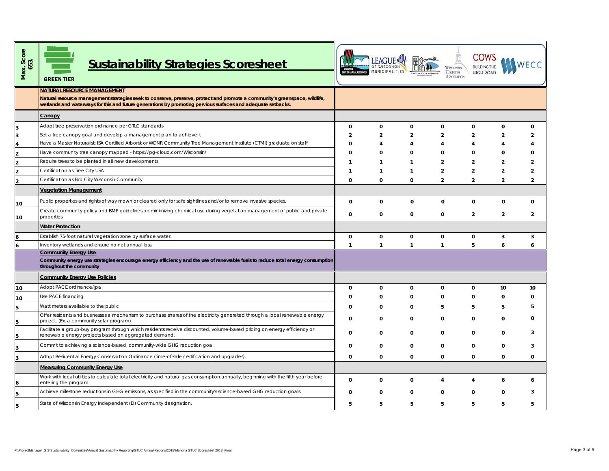| Max. Score<br>653 | <b>Sustainability Strategies Scoresheet</b><br><b>GREEN TIER</b>                                                                                                                                                                           | <b>DEPT. OF NATURAL RESOURCES</b> | MUNICIPALITIES |                | <b>WISCONSIN</b><br><b>COUNTIES</b><br><b>ASSOCIATION</b> | <b>HIGH ROAI</b> |                                  |
|-------------------|--------------------------------------------------------------------------------------------------------------------------------------------------------------------------------------------------------------------------------------------|-----------------------------------|----------------|----------------|-----------------------------------------------------------|------------------|----------------------------------|
|                   | <b>NATURAL RESOURCE MANAGEMENT</b>                                                                                                                                                                                                         |                                   |                |                |                                                           |                  |                                  |
|                   | Natural resource management strategies seek to conserve, preserve, protect and promote a community's greenspace, wildlife,<br>wetlands and waterways for this and future generations by promoting pervious surfaces and adequate setbacks. |                                   |                |                |                                                           |                  |                                  |
|                   | <b>Canopy</b>                                                                                                                                                                                                                              |                                   |                |                |                                                           |                  |                                  |
|                   | Adopt tree preservation ordinance per GTLC standards                                                                                                                                                                                       | 0                                 | 0              | 0              | 0                                                         | 0                | 0<br>0                           |
|                   | Set a tree canopy goal and develop a management plan to achieve it                                                                                                                                                                         | $\overline{2}$                    | 2              | $\overline{2}$ | 2                                                         | 2                | 2<br>2                           |
|                   | Have a Master Naturalist; ISA Certified Arborist or WDNR Community Tree Management Institute (CTMI) graduate on staff                                                                                                                      | $\Omega$                          |                | 4              | 4                                                         | 4                | 4<br>4                           |
|                   | Have community tree canopy mapped - https://pg-cloud.com/Wisconsin/                                                                                                                                                                        | $\mathbf{0}$                      | 0              | $\mathbf{0}$   | $\Omega$                                                  | $\Omega$         | $\Omega$<br>$\Omega$             |
|                   | Require trees to be planted in all new developments                                                                                                                                                                                        | -1                                |                | -1             | $\overline{2}$                                            | $\overline{2}$   | $\overline{2}$<br>$\overline{2}$ |
|                   | Certification as Tree City USA                                                                                                                                                                                                             | -1                                | -1             | $\mathbf 1$    | $\overline{2}$                                            | $\overline{2}$   | 2<br>$\overline{2}$              |
|                   | Certification as Bird City Wisconsin Community                                                                                                                                                                                             | $\mathbf{0}$                      | $\Omega$       | $\Omega$       | $\overline{2}$                                            | $\overline{2}$   | $\overline{2}$<br>2              |
|                   | <b>Vegetation Management</b>                                                                                                                                                                                                               |                                   |                |                |                                                           |                  |                                  |
| 10                | Public properties and rights of way mown or cleared only for safe sightlines and/or to remove invasive species.                                                                                                                            | $\Omega$                          | $\mathbf 0$    | 0              | 0                                                         | 0                | 0<br>0                           |
| 10                | Create community policy and BMP guidelines on minimizing chemical use during vegetation management of public and private<br>properties                                                                                                     | $\mathbf{0}$                      | 0              | 0              | 0                                                         | $\overline{2}$   | $\overline{2}$<br>$\overline{2}$ |
|                   | <b>Water Protection</b>                                                                                                                                                                                                                    |                                   |                |                |                                                           |                  |                                  |
|                   | Establish 75-foot natural vegetation zone by surface water.                                                                                                                                                                                | 0                                 | 0              | 0              | 0                                                         | 0                | 3<br>3                           |
|                   | Inventory wetlands and ensure no net annual loss.                                                                                                                                                                                          | -1                                | -1             | -1             | $\mathbf{1}$                                              | 5                | 6<br>6                           |
|                   | <b>Community Energy Use</b><br>Community energy use strategies encourage energy efficiency and the use of renewable fuels to reduce total energy consumption<br>throughout the community                                                   |                                   |                |                |                                                           |                  |                                  |
|                   | <b>Community Energy Use Policies</b>                                                                                                                                                                                                       |                                   |                |                |                                                           |                  |                                  |
| 10                | Adopt PACE ordinance/jpa                                                                                                                                                                                                                   | 0                                 | 0              | 0              | 0                                                         | 0                | 10<br>10                         |
|                   | Use PACE financing                                                                                                                                                                                                                         | $\mathbf{0}$                      | 0              | 0              | 0                                                         | 0                | 0<br>$\Omega$                    |
|                   | Watt meters available to the public                                                                                                                                                                                                        | $\mathbf{0}$                      | 0              | $\Omega$       | 5                                                         | 5                | 5<br>5                           |
|                   | Offer residents and businesses a mechanism to purchase shares of the electricity generated through a local renewable energy<br>project. (Ex. a community solar program)                                                                    | $\mathbf{0}$                      | 0              | 0              | 0                                                         | 0                | 0<br>0                           |
|                   | Facilitate a group-buy program through which residents receive discounted, volume-based pricing on energy efficiency or<br>renewable energy projects based on aggregated demand.                                                           | $\Omega$                          | 0              | 0              | 0                                                         | $\mathbf 0$      | 0<br>3                           |
|                   |                                                                                                                                                                                                                                            |                                   |                |                |                                                           | 0                | 3<br>0                           |
|                   | Commit to achieving a science-based, community-wide GHG reduction goal.                                                                                                                                                                    | 0                                 | 0              | 0              | 0                                                         |                  |                                  |
|                   | Adopt Residential Energy Conservation Ordinance (time-of-sale certification and upgrades).                                                                                                                                                 | $\Omega$                          | 0              | $\Omega$       | 0                                                         | $\Omega$         | 0<br>0                           |
|                   | <b>Measuring Community Energy Use</b>                                                                                                                                                                                                      |                                   |                |                |                                                           |                  |                                  |
|                   | Work with local utilities to calculate total electricity and natural gas consumption annually, beginning with the fifth year before<br>entering the program.                                                                               | $\Omega$                          | 0              | 0              | 4                                                         | 4                | 6<br>6                           |
|                   | Achieve milestone reductions in GHG emissions, as specified in the community's science-based GHG reduction goals.                                                                                                                          | 0                                 | 0              | 0              | 0                                                         | 0                | 3                                |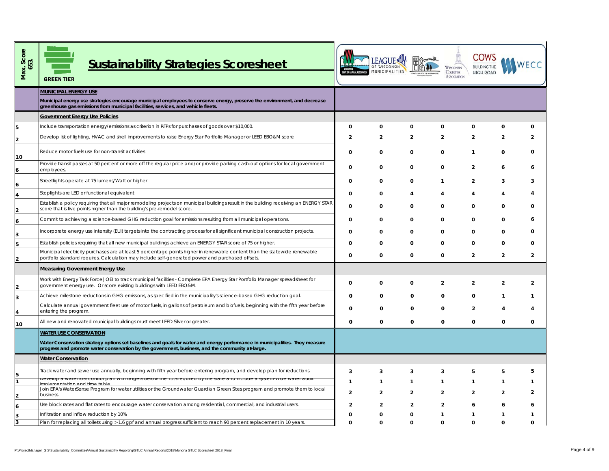| <b>ore</b><br>SG<br>653<br>Max. |       |
|---------------------------------|-------|
|                                 | GRFFN |

# **Sustainability Strategies Scoresheet**



| Max. Score<br>653. | <b>Sustainability Strategies Scoresheet</b><br><b>GREEN TIER</b>                                                                                                                                                                             | <b>DEPT. OF NATURAL RESOURCES</b> | MUNICIPALITIES |                | <b>WISCONSIN</b><br><b>COUNTIES</b><br><b>ASSOCIATION</b> | <b>HIGH ROA</b> |                                  |
|--------------------|----------------------------------------------------------------------------------------------------------------------------------------------------------------------------------------------------------------------------------------------|-----------------------------------|----------------|----------------|-----------------------------------------------------------|-----------------|----------------------------------|
|                    | <b>MUNICIPAL ENERGY USE</b><br>Municipal energy use strategies encourage municipal employees to conserve energy, preserve the environment, and decrease<br>greenhouse gas emissions from municipal facilities, services, and vehicle fleets. |                                   |                |                |                                                           |                 |                                  |
|                    | <b>Government Energy Use Policies</b>                                                                                                                                                                                                        |                                   |                |                |                                                           |                 |                                  |
|                    | nclude transportation energy/emissions as criterion in RFPs for purchases of goods over \$10,000.                                                                                                                                            | 0                                 | 0              | $\Omega$       | 0                                                         | 0               | 0<br>0                           |
|                    | Develop list of lighting, HVAC and shell improvements to raise Energy Star Portfolio Manager or LEED EBO&M score                                                                                                                             | $\overline{2}$                    | $\overline{2}$ | $\overline{2}$ | 2                                                         | $\overline{2}$  | 2<br>2                           |
| 10                 | Reduce motor fuels use for non-transit activities                                                                                                                                                                                            | 0                                 | 0              | $\mathbf 0$    | 0                                                         | $\mathbf{1}$    | 0<br>0                           |
| 6                  | Provide transit passes at 50 percent or more off the regular price and/or provide parking cash-out options for local government<br>employees.                                                                                                | 0                                 | 0              | 0              | 0                                                         | $\overline{2}$  | 6<br>6                           |
|                    | Streetlights operate at 75 lumens/Watt or higher                                                                                                                                                                                             | 0                                 | 0              | $\mathbf 0$    | $\mathbf{1}$                                              | $\overline{2}$  | 3<br>3                           |
|                    | Stoplights are LED or functional equivalent                                                                                                                                                                                                  | 0                                 | $\mathbf 0$    | 4              | 4                                                         | 4               | 4<br>4                           |
|                    | Establish a policy requiring that all major remodeling projects on municipal buildings result in the building receiving an ENERGY STAR<br>score that is five points higher than the building's pre-remodel score.                            | $\Omega$                          | $\Omega$       | $\Omega$       | $\Omega$                                                  | 0               | 0<br>$\Omega$                    |
|                    | Commit to achieving a science-based GHG reduction goal for emissions resulting from all municipal operations.                                                                                                                                | $\Omega$                          | 0              | 0              | 0                                                         | 0               | 0<br>6                           |
|                    | Incorporate energy use intensity (EUI) targets into the contracting process for all significant municipal construction projects.                                                                                                             | 0                                 | $\mathbf 0$    | $\Omega$       | 0                                                         | 0               | 0<br>0                           |
|                    | Establish policies requiring that all new municipal buildings achieve an ENERGY STAR score of 75 or higher.                                                                                                                                  | 0                                 | $\Omega$       | $\Omega$       | 0                                                         | 0               | 0<br>0                           |
|                    | Municipal electricity purchases are at least 5 percentage points higher in renewable content than the statewide renewable<br>portfolio standard requires. Calculation may include self-generated power and purchased offsets.                | $\Omega$                          | $\mathbf 0$    | $\mathbf 0$    | $\mathbf 0$                                               | $\overline{2}$  | $\overline{2}$<br>$\overline{2}$ |
|                    | <b>Measuring Government Energy Use</b>                                                                                                                                                                                                       |                                   |                |                |                                                           |                 |                                  |
|                    | Work with Energy Task Force   OEI to track municipal facilities - Complete EPA Energy Star Portfolio Manager spreadsheet for<br>government energy use. Or score existing buildings with LEED EBO&M.                                          | $\Omega$                          | 0              | $\mathbf 0$    | $\overline{2}$                                            | $\overline{2}$  | $\overline{2}$<br>$\overline{2}$ |
|                    | Achieve milestone reductions in GHG emissions, as specified in the municipality's science-based GHG reduction goal.                                                                                                                          | 0                                 | 0              | 0              | 0                                                         | 0               | 1<br>1                           |
|                    | Calculate annual government fleet use of motor fuels, in gallons of petroleum and biofuels, beginning with the fifth year before<br>entering the program.                                                                                    | $\Omega$                          | 0              | 0              | 0                                                         | $\overline{2}$  | 4<br>4                           |
| 10                 | All new and renovated municipal buildings must meet LEED Silver or greater.                                                                                                                                                                  | 0                                 | 0              | 0              | 0                                                         | 0               | $\Omega$<br>0                    |
|                    | <b>WATER USE CONSERVATION</b>                                                                                                                                                                                                                |                                   |                |                |                                                           |                 |                                  |
|                    | Water Conservation strategy options set baselines and goals for water and energy performance in municipalities. They measure<br>progress and promote water conservation by the government, business, and the community at-large.             |                                   |                |                |                                                           |                 |                                  |
|                    | <b>Water Conservation</b>                                                                                                                                                                                                                    |                                   |                |                |                                                           |                 |                                  |
|                    | Track water and sewer use annually, beginning with fifth year before entering program, and develop plan for reductions.                                                                                                                      | 3                                 | 3              | 3              | 3                                                         | 5               | 5<br>5                           |
|                    | evelop a water loss control plan with targets below the 15% required by the state and include a system-wide.                                                                                                                                 |                                   |                |                |                                                           |                 |                                  |
|                    | Join EPA's WaterSense Program for water utilities or the Groundwater Guardian Green Sites program and promote them to local<br>business.                                                                                                     | ▴                                 |                |                |                                                           |                 |                                  |
|                    | Use block rates and flat rates to encourage water conservation among residential, commercial, and industrial users.                                                                                                                          | $\overline{2}$                    | $\overline{2}$ | $\mathbf{2}$   | 2                                                         | 6               | 6<br>6                           |
| з                  | Infiltration and inflow reduction by 10%                                                                                                                                                                                                     | 0                                 | 0              | 0              | $\mathbf{1}$                                              | $\mathbf{1}$    | $\mathbf{1}$<br>$\mathbf{1}$     |
| 3                  | Plan for replacing all toilets using > 1.6 gpf and annual progress sufficient to reach 90 percent replacement in 10 years.                                                                                                                   | 0                                 | $\mathbf 0$    | 0              | $\pmb{0}$                                                 | 0               | 0<br>0                           |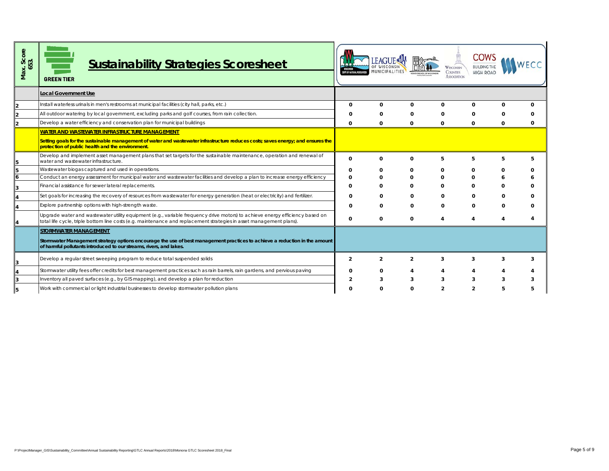| x. Score<br>653.<br>Max. | <b>Sustainability Strategies Scoresheet</b><br><b>GREEN TIER</b>                                                                                                                                                                                    | EPT. OF NATURAL RESOURCE | MUNICIPALITIES |                | WISCONSIN<br><b>COUNTIES</b><br><b>ASSOCIATION</b> | <b>HIGH ROAD</b> |                  |
|--------------------------|-----------------------------------------------------------------------------------------------------------------------------------------------------------------------------------------------------------------------------------------------------|--------------------------|----------------|----------------|----------------------------------------------------|------------------|------------------|
|                          | <b>Local Government Use</b>                                                                                                                                                                                                                         |                          |                |                |                                                    |                  |                  |
|                          | Install waterless urinals in men's restrooms at municipal facilities (city hall, parks, etc.)                                                                                                                                                       | 0                        | 0              | 0              | 0                                                  | 0                | 0<br>0           |
|                          | All outdoor watering by local government, excluding parks and golf courses, from rain collection.                                                                                                                                                   | 0                        | 0              | $\Omega$       | 0                                                  | 0                | 0<br>$\Omega$    |
|                          | Develop a water efficiency and conservation plan for municipal buildings                                                                                                                                                                            | $\Omega$                 | $\Omega$       | 0              | $\Omega$                                           | $\mathbf 0$      | 0<br>$\Omega$    |
|                          | WATER AND WASTEWATER INFRASTRUCTURE MANAGEMENT                                                                                                                                                                                                      |                          |                |                |                                                    |                  |                  |
|                          | Setting goals for the sustainable management of water and wastewater infrastructure reduces costs; saves energy; and ensures the<br>protection of public health and the environment.                                                                |                          |                |                |                                                    |                  |                  |
| 15                       | Develop and implement asset management plans that set targets for the sustainable maintenance, operation and renewal of<br>water and wastewater infrastructure.                                                                                     | 0                        | $\mathbf 0$    | 0              | 5                                                  | 5                | 5<br>5           |
| 5                        | Wastewater biogas captured and used in operations.                                                                                                                                                                                                  | 0                        | 0              | 0              | 0                                                  | 0                | $\Omega$<br>0    |
|                          | Conduct an energy assessment for municipal water and wastewater facilities and develop a plan to increase energy efficiency                                                                                                                         | 0                        | 0              | 0              | 0                                                  | 0                | 6<br>6           |
|                          | Financial assistance for sewer lateral replacements.                                                                                                                                                                                                | 0                        | 0              | 0              | 0                                                  | 0                | 0<br>0           |
|                          | Set goals for increasing the recovery of resources from wastewater for energy generation (heat or electricity) and fertilizer.                                                                                                                      | $\mathbf 0$              | 0              | 0              | 0                                                  | 0                | 0<br>0           |
|                          | Explore partnership options with high-strength waste.                                                                                                                                                                                               | $\mathbf 0$              | $\mathbf 0$    | $\mathbf 0$    | $\mathbf 0$                                        | $\mathbf 0$      | $\mathbf 0$<br>0 |
|                          | Upgrade water and wastewater utility equipment (e.g., variable frequency drive motors) to achieve energy efficiency based on<br>total life cycle, triple bottom line costs (e.g. maintenance and replacement strategies in asset management plans). | 0                        | $\mathbf 0$    | 0              | 4                                                  | $\overline{4}$   | 4<br>4           |
|                          | <b>STORMWATER MANAGEMENT</b>                                                                                                                                                                                                                        |                          |                |                |                                                    |                  |                  |
|                          | Stormwater Management strategy options encourage the use of best management practices to achieve a reduction in the amount<br>of harmful pollutants introduced to our streams, rivers, and lakes.                                                   |                          |                |                |                                                    |                  |                  |
|                          | Develop a regular street sweeping program to reduce total suspended solids                                                                                                                                                                          | $\overline{2}$           | $\overline{2}$ | $\overline{2}$ | 3                                                  | 3                | 3<br>3           |
|                          | Stormwater utility fees offer credits for best management practices such as rain barrels, rain gardens, and pervious paving                                                                                                                         | 0                        | 0              | 4              | 4                                                  | 4                | 4<br>4           |
| 3                        | nventory all paved surfaces (e.g., by GIS mapping), and develop a plan for reduction                                                                                                                                                                | $\overline{2}$           | 3              | 3              | 3                                                  | 3                | 3<br>3           |
| 5                        | Work with commercial or light industrial businesses to develop stormwater pollution plans                                                                                                                                                           | $\mathbf 0$              | $\mathbf 0$    | $\mathbf 0$    | $\overline{2}$                                     | $\overline{2}$   | 5<br>5           |
|                          |                                                                                                                                                                                                                                                     |                          |                |                |                                                    |                  |                  |
|                          |                                                                                                                                                                                                                                                     |                          |                |                |                                                    |                  |                  |
|                          |                                                                                                                                                                                                                                                     |                          |                |                |                                                    |                  |                  |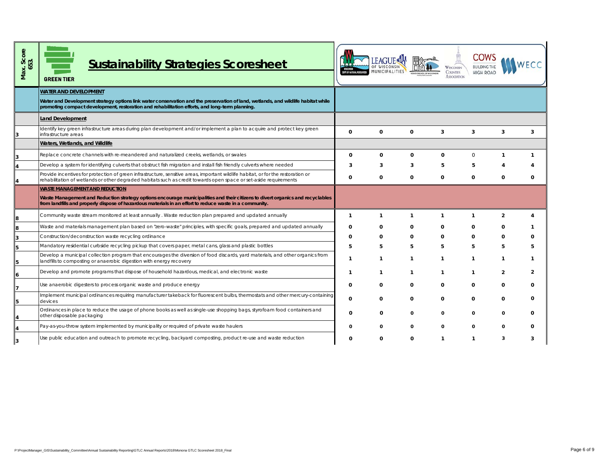| x. Score<br>653.<br>Max. | <b>Sustainability Strategies Scoresheet</b><br><b>GREEN TIER</b>                                                                                                                                                                                                                   | EPT OF NATURAL RESOURCES | MUNICIPALITIES |              | WISCONSIN<br><b>COUNTIES</b><br><b>ASSOCIATION</b> | COWS<br><b>BUILDING THE</b><br><b>HIGH ROAD</b> |                |              |
|--------------------------|------------------------------------------------------------------------------------------------------------------------------------------------------------------------------------------------------------------------------------------------------------------------------------|--------------------------|----------------|--------------|----------------------------------------------------|-------------------------------------------------|----------------|--------------|
|                          | <b>WATER AND DEVELOPMENT</b>                                                                                                                                                                                                                                                       |                          |                |              |                                                    |                                                 |                |              |
|                          | Water and Development strategy options link water conservation and the preservation of land, wetlands, and wildlife habitat while<br>promoting compact development, restoration and rehabilitation efforts, and long-term planning.                                                |                          |                |              |                                                    |                                                 |                |              |
|                          | <b>Land Development</b>                                                                                                                                                                                                                                                            |                          |                |              |                                                    |                                                 |                |              |
|                          | dentify key green infrastructure areas during plan development and/or implement a plan to acquire and protect key green<br>infrastructure areas                                                                                                                                    | 0                        | $\mathbf 0$    | 0            | 3                                                  | $\mathbf{3}$                                    | 3              | 3            |
|                          | Waters, Wetlands, and Wildlife                                                                                                                                                                                                                                                     |                          |                |              |                                                    |                                                 |                |              |
|                          | Replace concrete channels with re-meandered and naturalized creeks, wetlands, or swales                                                                                                                                                                                            | 0                        | $\mathbf 0$    | 0            | $\mathbf 0$                                        | $\mathbf 0$                                     | $\mathbf{1}$   | $\mathbf 1$  |
|                          | Develop a system for identifying culverts that obstruct fish migration and install fish friendly culverts where needed                                                                                                                                                             | 3                        | 3              | 3            | 5                                                  | 5                                               | 4              | 4            |
|                          | Provide incentives for protection of green infrastructure, sensitive areas, important wildlife habitat, or for the restoration or<br>rehabilitation of wetlands or other degraded habitats such as credit towards open space or set-aside requirements                             | $\Omega$                 | $\mathbf 0$    | 0            | 0                                                  | 0                                               | 0              | 0            |
|                          | <b>WASTE MANAGEMENT AND REDUCTION</b><br>Waste Management and Reduction strategy options encourage municipalities and their citizens to divert organics and recyclables<br>from landfills and properly dispose of hazardous materials in an effort to reduce waste in a community. |                          |                |              |                                                    |                                                 |                |              |
|                          | Community waste stream monitored at least annually . Waste reduction plan prepared and updated annually                                                                                                                                                                            | $\overline{1}$           | $\mathbf{1}$   | $\mathbf{1}$ | $\mathbf{1}$                                       | $\mathbf{1}$                                    | $\overline{2}$ | 4            |
|                          | Waste and materials management plan based on "zero-waste" principles, with specific goals, prepared and updated annually                                                                                                                                                           | $\Omega$                 | 0              | 0            | 0                                                  | 0                                               | 0              | -1           |
|                          | Construction/deconstruction waste recycling ordinance                                                                                                                                                                                                                              | $\Omega$                 | 0              | 0            | 0                                                  | 0                                               | 0              | 0            |
|                          | Mandatory residential curbside recycling pickup that covers paper, metal cans, glass and plastic bottles                                                                                                                                                                           | 5                        | 5              | 5            | 5                                                  | 5                                               | 5              | 5            |
|                          | Develop a municipal collection program that encourages the diversion of food discards, yard materials, and other organics from<br>landfills to composting or anaerobic digestion with energy recovery                                                                              | $\overline{1}$           | $\mathbf{1}$   | $\mathbf{1}$ | $\mathbf{1}$                                       | $\overline{1}$                                  | $\mathbf{1}$   | $\mathbf{1}$ |
|                          | Develop and promote programs that dispose of household hazardous, medical, and electronic waste                                                                                                                                                                                    | $\mathbf{1}$             | $\mathbf{1}$   | $\mathbf{1}$ | $\mathbf{1}$                                       | $\mathbf{1}$                                    | $\overline{2}$ | 2            |
|                          | Jse anaerobic digesters to process organic waste and produce energy                                                                                                                                                                                                                | 0                        | $\mathbf 0$    | 0            | 0                                                  | 0                                               | 0              | 0            |
|                          | mplement municipal ordinances requiring manufacturer takeback for fluorescent bulbs, thermostats and other mercury-containing<br>devices                                                                                                                                           | 0                        | 0              | 0            | 0                                                  | 0                                               | 0              | 0            |
|                          | Ordinances in place to reduce the usage of phone books as well as single-use shopping bags, styrofoam food containers and<br>other disposable packaging                                                                                                                            | 0                        | $\mathbf 0$    | $\mathbf 0$  | 0                                                  | 0                                               | $\mathbf 0$    | 0            |
|                          | Pay-as-you-throw system implemented by municipality or required of private waste haulers                                                                                                                                                                                           | 0                        | $\mathbf 0$    | $\mathbf 0$  | 0                                                  | 0                                               | $\mathbf 0$    | 0            |
|                          | Jse public education and outreach to promote recycling, backyard composting, product re-use and waste reduction                                                                                                                                                                    | 0                        | 0              | $\mathbf 0$  | $\mathbf{1}$                                       | $\mathbf{1}$                                    | $\mathbf{3}$   | 3            |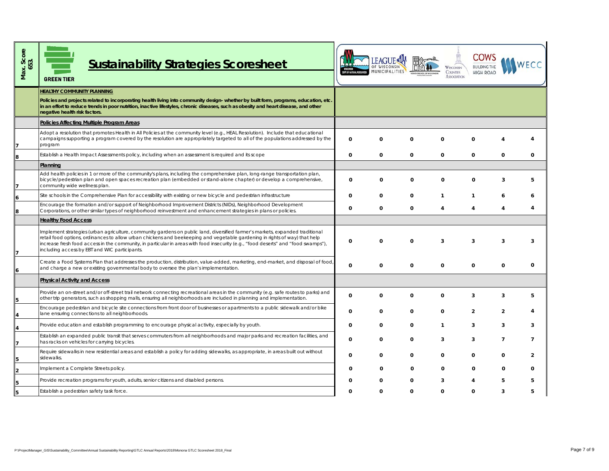| x. Score<br>653.<br>Max. | <b>Sustainability Strategies Scoresheet</b><br><b>GREEN TIER</b>                                                                                                                                                                                                                                                                                                                                                                                   |             | MUNICIPALITIES |             | WISCONSIN<br><b>COUNTIES</b><br><b>ASSOCIATION</b> | <b>HIGH ROAD</b> |                                  |
|--------------------------|----------------------------------------------------------------------------------------------------------------------------------------------------------------------------------------------------------------------------------------------------------------------------------------------------------------------------------------------------------------------------------------------------------------------------------------------------|-------------|----------------|-------------|----------------------------------------------------|------------------|----------------------------------|
|                          | <b>HEALTHY COMMUNITY PLANNING</b><br>Policies and projects related to incorporating health living into community design- whether by built form, programs, education, etc.<br>in an effort to reduce trends in poor nutrition, inactive lifestyles, chronic diseases, such as obesity and heart disease, and other<br>negative health risk factors.                                                                                                 |             |                |             |                                                    |                  |                                  |
|                          | Policies Affecting Multiple Program Areas                                                                                                                                                                                                                                                                                                                                                                                                          |             |                |             |                                                    |                  |                                  |
|                          | Adopt a resolution that promotes Health in All Policies at the community level (e.g., HEAL Resolution). Include that educational<br>campaigns supporting a program covered by the resolution are appropriately targeted to all of the populations addressed by the<br>program                                                                                                                                                                      | 0           | 0              | $\Omega$    | 0                                                  | O                |                                  |
| 8                        | Establish a Health Impact Assessments policy, including when an assessment is required and its scope                                                                                                                                                                                                                                                                                                                                               | $\mathbf 0$ | 0              | $\Omega$    | 0                                                  | 0                | $\mathbf{0}$<br>0                |
|                          | Planning                                                                                                                                                                                                                                                                                                                                                                                                                                           |             |                |             |                                                    |                  |                                  |
|                          | Add health policies in 1 or more of the community's plans, including the comprehensive plan, long-range transportation plan,<br>bicycle/pedestrian plan and open spaces recreation plan (embedded or stand-alone chapter) or develop a comprehensive,<br>community wide wellness plan.                                                                                                                                                             | 0           | 0              | $\Omega$    | 0                                                  | <sup>0</sup>     | 3<br>5                           |
|                          | Site schools in the Comprehensive Plan for accessibility with existing or new bicycle and pedestrian infrastructure                                                                                                                                                                                                                                                                                                                                | $\mathbf 0$ | $\Omega$       | $\Omega$    | $\mathbf{1}$                                       | -1               | 6                                |
|                          | Encourage the formation and/or support of Neighborhood Improvement Districts (NIDs), Neighborhood Development<br>Corporations, or other similar types of neighborhood reinvestment and enhancement strategies in plans or policies.                                                                                                                                                                                                                | $\mathbf 0$ | $\mathbf 0$    | 0           | 4                                                  | $\overline{4}$   | 4<br>4                           |
|                          | <b>Healthy Food Access</b>                                                                                                                                                                                                                                                                                                                                                                                                                         |             |                |             |                                                    |                  |                                  |
| 7                        | Implement strategies (urban agriculture, community gardens on public land, diversified farmer's markets, expanded traditional<br>retail food options, ordinances to allow urban chickens and beekeeping and vegetable gardening in rights of way) that help<br>increase fresh food access in the community, in particular in areas with food insecurity (e.g., "food deserts" and "food swamps"),<br>including access by EBT and WIC participants. | $\mathbf 0$ | $\Omega$       | $\Omega$    | 3                                                  | 3                | 3<br>3                           |
|                          | Create a Food Systems Plan that addresses the production, distribution, value-added, marketing, end-market, and disposal of food<br>and charge a new or existing governmental body to oversee the plan's implementation.                                                                                                                                                                                                                           | 0           | 0              | $\Omega$    | 0                                                  | 0                | $\mathbf{0}$<br>0                |
|                          | <b>Physical Activity and Access</b>                                                                                                                                                                                                                                                                                                                                                                                                                |             |                |             |                                                    |                  |                                  |
|                          | Provide an on-street and/or off-street trail network connecting recreational areas in the community (e.g. safe routes to parks) and<br>other trip generators, such as shopping malls, ensuring all neighborhoods are included in planning and implementation.                                                                                                                                                                                      | $\mathbf 0$ | 0              | $\Omega$    | 0                                                  | 3                | 3<br>5                           |
|                          | Encourage pedestrian and bicycle site connections from front door of businesses or apartments to a public sidewalk and/or bike<br>lane ensuring connections to all neighborhoods.                                                                                                                                                                                                                                                                  | 0           | 0              | $\mathbf 0$ | 0                                                  | $\overline{2}$   | $\overline{2}$<br>4              |
|                          | Provide education and establish programming to encourage physical activity, especially by youth.                                                                                                                                                                                                                                                                                                                                                   | 0           | 0              | $\Omega$    | $\mathbf{1}$                                       | 3                | 3<br>3                           |
|                          | Establish an expanded public transit that serves commuters from all neighborhoods and major parks and recreation facilities, and<br>has racks on vehicles for carrying bicycles.                                                                                                                                                                                                                                                                   | $\mathbf 0$ | 0              | $\Omega$    | 3                                                  | 3                | $\overline{7}$<br>$\overline{7}$ |
|                          | Require sidewalks in new residential areas and establish a policy for adding sidewalks, as appropriate, in areas built out without<br>sidewalks.                                                                                                                                                                                                                                                                                                   | 0           | 0              | $\Omega$    | 0                                                  | 0                | $\mathbf{0}$<br>2                |
|                          | mplement a Complete Streets policy.                                                                                                                                                                                                                                                                                                                                                                                                                | $\Omega$    | $\Omega$       | $\Omega$    | $\Omega$                                           | 0                | 0                                |
|                          | Provide recreation programs for youth, adults, senior citizens and disabled persons.                                                                                                                                                                                                                                                                                                                                                               | O           | $\Omega$       | $\Omega$    | 3                                                  |                  | 5                                |
|                          | Establish a pedestrian safety task force                                                                                                                                                                                                                                                                                                                                                                                                           | 0           | 0              | 0           | 0                                                  | $\mathbf 0$      | 3<br>5                           |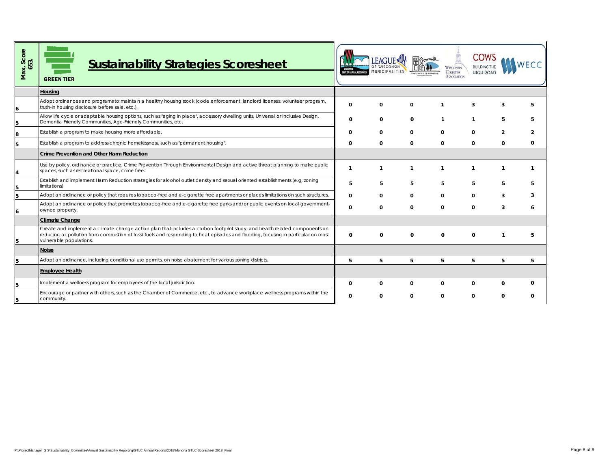| Max. Score<br>653.      | <b>Sustainability Strategies Scoresheet</b><br><b>GREEN TIER</b>                                                                                                                                                                                                                             |                | MUNICIPALITIES | OO FRIENDS OF WISCON | <b>WISCONSIN</b><br><b>COUNTIES</b><br><b>ASSOCIATION</b> | COW!<br><b>HIGH ROAD</b> |                              |
|-------------------------|----------------------------------------------------------------------------------------------------------------------------------------------------------------------------------------------------------------------------------------------------------------------------------------------|----------------|----------------|----------------------|-----------------------------------------------------------|--------------------------|------------------------------|
|                         | Housing                                                                                                                                                                                                                                                                                      |                |                |                      |                                                           |                          |                              |
| $6 \nightharpoonup$     | Adopt ordinances and programs to maintain a healthy housing stock (code enforcement, landlord licenses, volunteer program,<br>truth-in housing disclosure before sale, etc.).                                                                                                                | 0              | 0              | 0                    | $\mathbf{1}$                                              | 3                        | 3<br>5                       |
| $\overline{5}$          | Allow life cycle or adaptable housing options, such as "aging in place", accessory dwelling units, Universal or Inclusive Design,<br>Dementia Friendly Communities, Age-Friendly Communities, etc.                                                                                           | 0              | 0              | 0                    | $\mathbf{1}$                                              | $\mathbf{1}$             | 5<br>5                       |
| $\overline{\mathbf{g}}$ | Establish a program to make housing more affordable.                                                                                                                                                                                                                                         | 0              | 0              | 0                    | 0                                                         | 0                        | $\overline{2}$<br>2          |
| 5                       | Establish a program to address chronic homelessness, such as "permanent housing".                                                                                                                                                                                                            | 0              | $\mathbf 0$    | $\mathbf 0$          | $\mathbf 0$                                               | 0                        | $\mathbf 0$<br>0             |
|                         | Crime Prevention and Other Harm Reduction                                                                                                                                                                                                                                                    |                |                |                      |                                                           |                          |                              |
| $\overline{\mathbf{r}}$ | Use by policy, ordinance or practice, Crime Prevention Through Environmental Design and active threat planning to make public<br>spaces, such as recreational space, crime free.                                                                                                             | $\overline{1}$ | $\mathbf{1}$   | $\mathbf{1}$         | $\mathbf{1}$                                              | $\mathbf{1}$             | $\mathbf{1}$<br>$\mathbf{1}$ |
|                         | Establish and implement Harm Reduction strategies for alcohol outlet density and sexual oriented establishments (e.g. zoning<br>limitations)                                                                                                                                                 | 5              | 5              | 5                    | 5                                                         | 5                        | 5<br>5                       |
| $\frac{5}{5}$           | Adopt an ordinance or policy that requires tobacco-free and e-cigarette free apartments or places limitations on such structures.                                                                                                                                                            | 0              | 0              | 0                    | 0                                                         | 0                        | 3<br>3                       |
| $6 \overline{6}$        | Adopt an ordinance or policy that promotes tobacco-free and e-cigarette free parks and/or public events on local government-<br>owned property.                                                                                                                                              | 0              | $\mathbf 0$    | 0                    | 0                                                         | 0                        | 3<br>6                       |
|                         | Climate Change                                                                                                                                                                                                                                                                               |                |                |                      |                                                           |                          |                              |
| 5                       | Create and implement a climate change action plan that includes a carbon footprint study, and health related components on<br>reducing air pollution from combustion of fossil fuels and responding to heat episodes and flooding, focusing in particular on most<br>vulnerable populations. | 0              | 0              | 0                    | 0                                                         | 0                        | 5<br>$\mathbf{1}$            |
|                         | <b>Noise</b>                                                                                                                                                                                                                                                                                 |                |                |                      |                                                           |                          |                              |
| $\overline{5}$          | Adopt an ordinance, including conditional use permits, on noise abatement for various zoning districts.                                                                                                                                                                                      | 5              | 5              | 5                    | 5                                                         | 5                        | 5<br>5                       |
|                         | <b>Employee Health</b>                                                                                                                                                                                                                                                                       |                |                |                      |                                                           |                          |                              |
| $\overline{5}$          | Implement a wellness program for employees of the local jurisdiction.                                                                                                                                                                                                                        | 0              | 0              | 0                    | $\mathbf 0$                                               | 0                        | 0<br>0                       |
| 5                       | Encourage or partner with others, such as the Chamber of Commerce, etc., to advance workplace wellness programs within the<br>community.                                                                                                                                                     | $\mathbf 0$    | 0              | 0                    | $\mathbf 0$                                               | 0                        | 0<br>0                       |
|                         |                                                                                                                                                                                                                                                                                              |                |                |                      |                                                           |                          |                              |
|                         |                                                                                                                                                                                                                                                                                              |                |                |                      |                                                           |                          |                              |